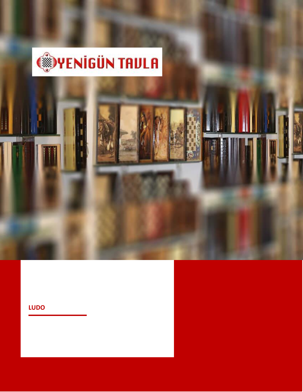

# **LUDO**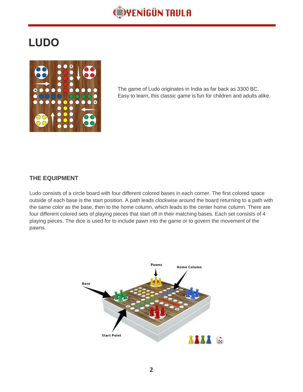

# **LUDO**



The game of Ludo originates in India as far back as 3300 BC. Easy to learn, this classic game is fun for children and adults alike.

## **THE EQUIPMENT**

Ludo consists of a circle board with four different colored bases in each corner. The first colored space outside of each base is the start position. A path leads clockwise around the board returning to a path with the same color as the base, then to the home column, which leads to the center home column. There are four different colored sets of playing pieces that start off in their matching bases. Each set consists of 4 playing pieces. The dice is used for to include pawn into the game or to govern the movement of the pawns.

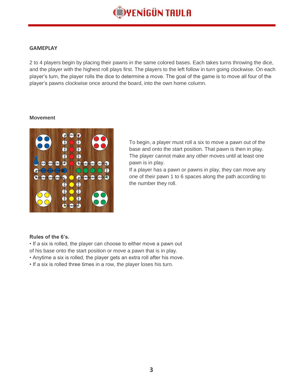![](_page_2_Picture_0.jpeg)

#### **GAMEPLAY**

2 to 4 players begin by placing their pawns in the same colored bases. Each takes turns throwing the dice, and the player with the highest roll plays first. The players to the left follow in turn going clockwise. On each player's turn, the player rolls the dice to determine a move. The goal of the game is to move all four of the player's pawns clockwise once around the board, into the own home column.

#### **Movement**

![](_page_2_Picture_4.jpeg)

To begin, a player must roll a six to move a pawn out of the base and onto the start position. That pawn is then in play. The player cannot make any other moves until at least one pawn is in play.

If a player has a pawn or pawns in play, they can move any one of their pawn 1 to 6 spaces along the path according to the number they roll.

#### **Rules of the 6's.**

- If a six is rolled, the player can choose to either move a pawn out
- of his base onto the start position or move a pawn that is in play.
- Anytime a six is rolled, the player gets an extra roll after his move.
- If a six is rolled three times in a row, the player loses his turn.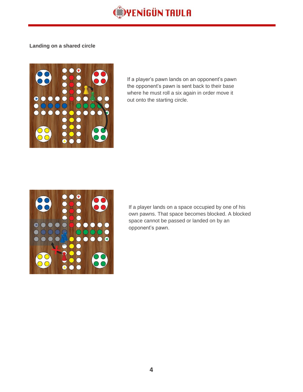![](_page_3_Picture_0.jpeg)

#### **Landing on a shared circle**

![](_page_3_Picture_2.jpeg)

If a player's pawn lands on an opponent's pawn the opponent's pawn is sent back to their base where he must roll a six again in order move it out onto the starting circle.

![](_page_3_Picture_4.jpeg)

If a player lands on a space occupied by one of his own pawns. That space becomes blocked. A blocked space cannot be passed or landed on by an opponent's pawn.